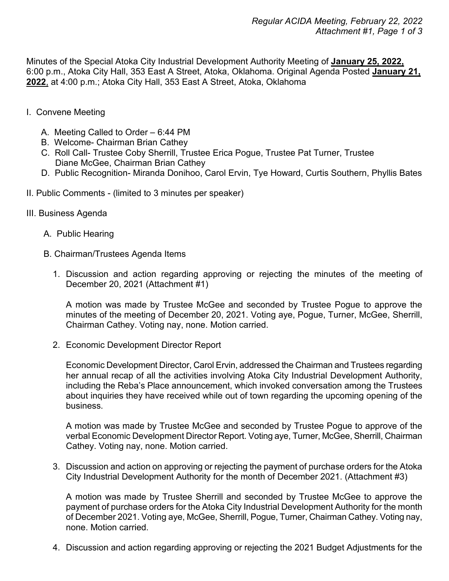Minutes of the Special Atoka City Industrial Development Authority Meeting of **January 25, 2022,** 6:00 p.m., Atoka City Hall, 353 East A Street, Atoka, Oklahoma. Original Agenda Posted **January 21, 2022**, at 4:00 p.m.; Atoka City Hall, 353 East A Street, Atoka, Oklahoma

- I. Convene Meeting
	- A. Meeting Called to Order 6:44 PM
	- B. Welcome- Chairman Brian Cathey
	- C. Roll Call- Trustee Coby Sherrill, Trustee Erica Pogue, Trustee Pat Turner, Trustee Diane McGee, Chairman Brian Cathey
	- D. Public Recognition- Miranda Donihoo, Carol Ervin, Tye Howard, Curtis Southern, Phyllis Bates
- II. Public Comments (limited to 3 minutes per speaker)
- III. Business Agenda
	- A. Public Hearing
	- B. Chairman/Trustees Agenda Items
		- 1. Discussion and action regarding approving or rejecting the minutes of the meeting of December 20, 2021 (Attachment #1)

A motion was made by Trustee McGee and seconded by Trustee Pogue to approve the minutes of the meeting of December 20, 2021. Voting aye, Pogue, Turner, McGee, Sherrill, Chairman Cathey. Voting nay, none. Motion carried.

2. Economic Development Director Report

Economic Development Director, Carol Ervin, addressed the Chairman and Trustees regarding her annual recap of all the activities involving Atoka City Industrial Development Authority, including the Reba's Place announcement, which invoked conversation among the Trustees about inquiries they have received while out of town regarding the upcoming opening of the business.

A motion was made by Trustee McGee and seconded by Trustee Pogue to approve of the verbal Economic Development Director Report. Voting aye, Turner, McGee, Sherrill, Chairman Cathey. Voting nay, none. Motion carried.

3. Discussion and action on approving or rejecting the payment of purchase orders for the Atoka City Industrial Development Authority for the month of December 2021. (Attachment #3)

A motion was made by Trustee Sherrill and seconded by Trustee McGee to approve the payment of purchase orders for the Atoka City Industrial Development Authority for the month of December 2021. Voting aye, McGee, Sherrill, Pogue, Turner, Chairman Cathey. Voting nay, none. Motion carried.

4. Discussion and action regarding approving or rejecting the 2021 Budget Adjustments for the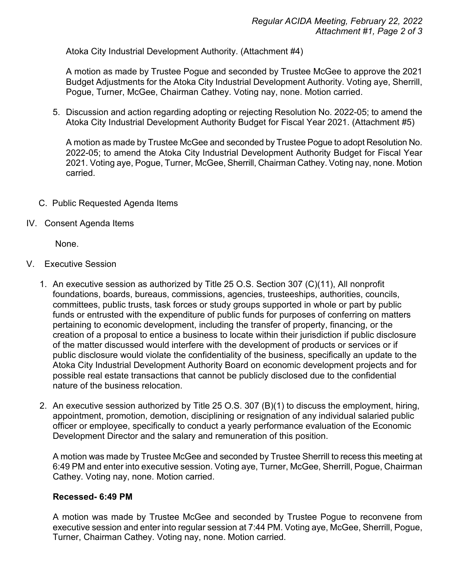Atoka City Industrial Development Authority. (Attachment #4)

A motion as made by Trustee Pogue and seconded by Trustee McGee to approve the 2021 Budget Adjustments for the Atoka City Industrial Development Authority. Voting aye, Sherrill, Pogue, Turner, McGee, Chairman Cathey. Voting nay, none. Motion carried.

5. Discussion and action regarding adopting or rejecting Resolution No. 2022-05; to amend the Atoka City Industrial Development Authority Budget for Fiscal Year 2021. (Attachment #5)

A motion as made by Trustee McGee and seconded by Trustee Pogue to adopt Resolution No. 2022-05; to amend the Atoka City Industrial Development Authority Budget for Fiscal Year 2021. Voting aye, Pogue, Turner, McGee, Sherrill, Chairman Cathey. Voting nay, none. Motion carried.

- C. Public Requested Agenda Items
- IV. Consent Agenda Items

None.

- V. Executive Session
	- 1. An executive session as authorized by Title 25 O.S. Section 307 (C)(11), All nonprofit foundations, boards, bureaus, commissions, agencies, trusteeships, authorities, councils, committees, public trusts, task forces or study groups supported in whole or part by public funds or entrusted with the expenditure of public funds for purposes of conferring on matters pertaining to economic development, including the transfer of property, financing, or the creation of a proposal to entice a business to locate within their jurisdiction if public disclosure of the matter discussed would interfere with the development of products or services or if public disclosure would violate the confidentiality of the business, specifically an update to the Atoka City Industrial Development Authority Board on economic development projects and for possible real estate transactions that cannot be publicly disclosed due to the confidential nature of the business relocation.
	- 2. An executive session authorized by Title 25 O.S. 307 (B)(1) to discuss the employment, hiring, appointment, promotion, demotion, disciplining or resignation of any individual salaried public officer or employee, specifically to conduct a yearly performance evaluation of the Economic Development Director and the salary and remuneration of this position.

A motion was made by Trustee McGee and seconded by Trustee Sherrill to recess this meeting at 6:49 PM and enter into executive session. Voting aye, Turner, McGee, Sherrill, Pogue, Chairman Cathey. Voting nay, none. Motion carried.

## **Recessed- 6:49 PM**

A motion was made by Trustee McGee and seconded by Trustee Pogue to reconvene from executive session and enter into regular session at 7:44 PM. Voting aye, McGee, Sherrill, Pogue, Turner, Chairman Cathey. Voting nay, none. Motion carried.